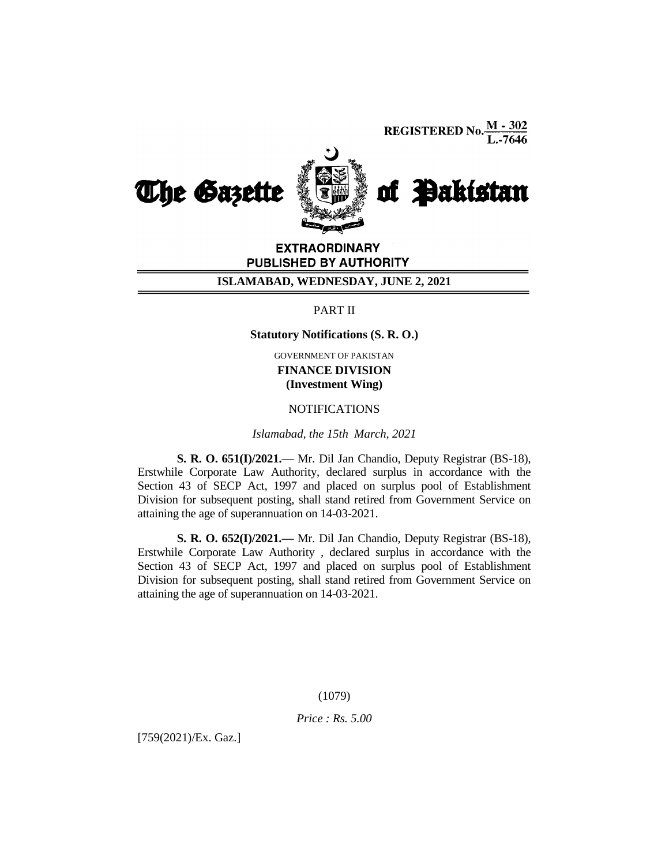**REGISTERED No.**  $\frac{M - 302}{L - 7646}$ 



EXTRAORDINARY PUBLISHED BY AUTHORITY

## **ISLAMABAD, WEDNESDAY, JUNE 2, 2021**

# PART II

**Statutory Notifications (S. R. O.)**

GOVERNMENT OF PAKISTAN

**FINANCE DIVISION (Investment Wing)**

# **NOTIFICATIONS**

*Islamabad, the 15th March, 2021*

**S. R. O. 651(I)/2021.—** Mr. Dil Jan Chandio, Deputy Registrar (BS-18), Erstwhile Corporate Law Authority, declared surplus in accordance with the Section 43 of SECP Act, 1997 and placed on surplus pool of Establishment Division for subsequent posting, shall stand retired from Government Service on attaining the age of superannuation on 14-03-2021.

**S. R. O. 652(I)/2021.—** Mr. Dil Jan Chandio, Deputy Registrar (BS-18), Erstwhile Corporate Law Authority , declared surplus in accordance with the Section 43 of SECP Act, 1997 and placed on surplus pool of Establishment Division for subsequent posting, shall stand retired from Government Service on attaining the age of superannuation on 14-03-2021.

(1079)

*Price : Rs. 5.00*

[759(2021)/Ex. Gaz.]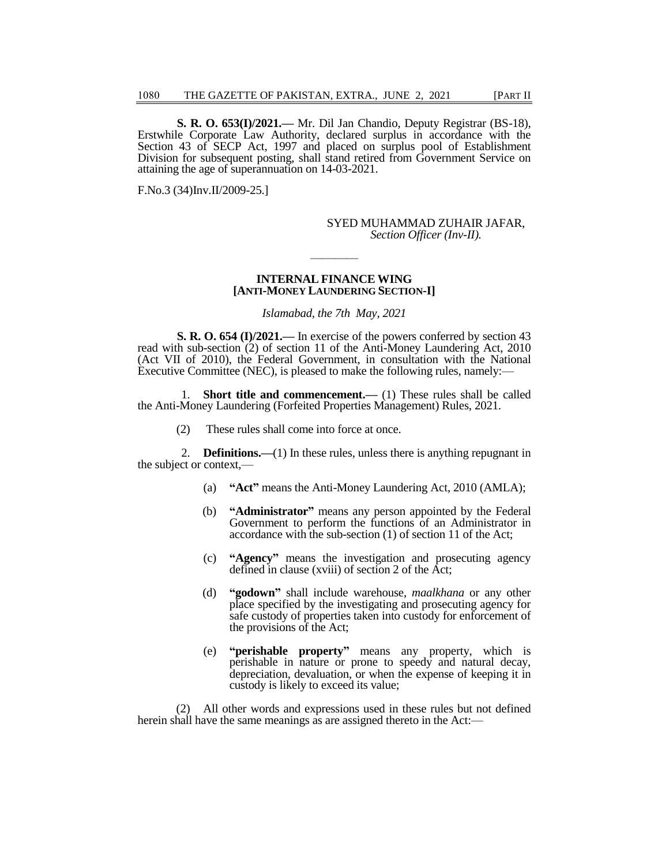**S. R. O. 653(I)/2021.—** Mr. Dil Jan Chandio, Deputy Registrar (BS-18), Erstwhile Corporate Law Authority, declared surplus in accordance with the Section 43 of SECP Act, 1997 and placed on surplus pool of Establishment Division for subsequent posting, shall stand retired from Government Service on attaining the age of superannuation on 14-03-2021.

F.No.3 (34)Inv.II/2009-25.]

#### SYED MUHAMMAD ZUHAIR JAFAR, *Section Officer (Inv-II).*

#### **INTERNAL FINANCE WING [ANTI-MONEY LAUNDERING SECTION-I]**

————

*Islamabad, the 7th May, 2021*

**S. R. O. 654 (I)/2021.—** In exercise of the powers conferred by section 43 read with sub-section (2) of section 11 of the Anti-Money Laundering Act, 2010 (Act VII of 2010), the Federal Government, in consultation with the National Executive Committee (NEC), is pleased to make the following rules, namely:—

1. **Short title and commencement.—** (1) These rules shall be called the Anti-Money Laundering (Forfeited Properties Management) Rules, 2021.

(2) These rules shall come into force at once.

2. **Definitions.—**(1) In these rules, unless there is anything repugnant in the subject or context,—

- (a) **"Act"** means the Anti-Money Laundering Act, 2010 (AMLA);
- (b) **"Administrator"** means any person appointed by the Federal Government to perform the functions of an Administrator in accordance with the sub-section (1) of section 11 of the Act;
- (c) **"Agency"** means the investigation and prosecuting agency defined in clause (xviii) of section 2 of the Act;
- (d) **"godown"** shall include warehouse, *maalkhana* or any other place specified by the investigating and prosecuting agency for safe custody of properties taken into custody for enforcement of the provisions of the Act;
- (e) **"perishable property"** means any property, which is perishable in nature or prone to speedy and natural decay, depreciation, devaluation, or when the expense of keeping it in custody is likely to exceed its value;

(2) All other words and expressions used in these rules but not defined herein shall have the same meanings as are assigned thereto in the Act:—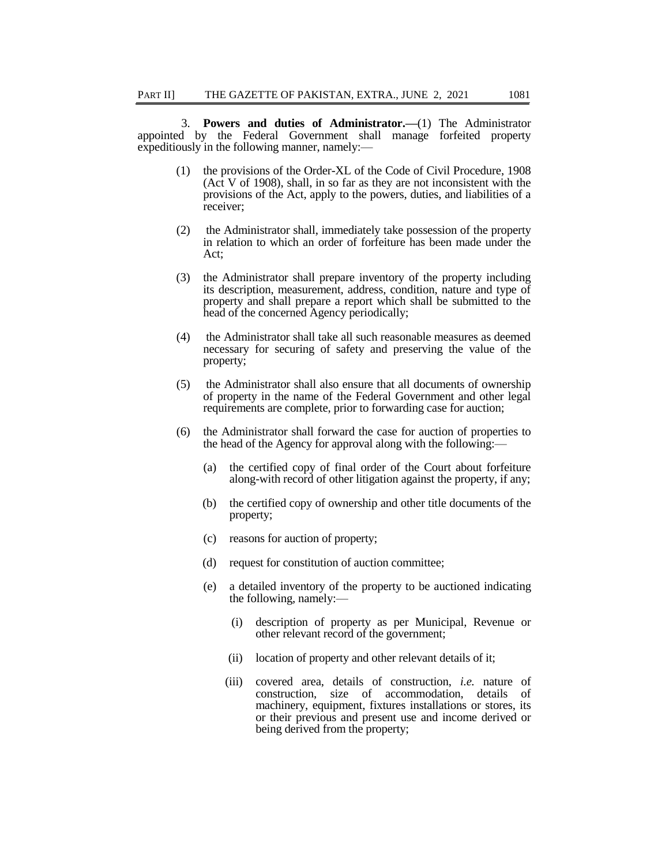3. **Powers and duties of Administrator.—**(1) The Administrator appointed by the Federal Government shall manage forfeited property expeditiously in the following manner, namely:—

- (1) the provisions of the Order-XL of the Code of Civil Procedure, 1908 (Act V of 1908), shall, in so far as they are not inconsistent with the provisions of the Act, apply to the powers, duties, and liabilities of a receiver;
- (2) the Administrator shall, immediately take possession of the property in relation to which an order of forfeiture has been made under the Act;
- (3) the Administrator shall prepare inventory of the property including its description, measurement, address, condition, nature and type of property and shall prepare a report which shall be submitted to the head of the concerned Agency periodically;
- (4) the Administrator shall take all such reasonable measures as deemed necessary for securing of safety and preserving the value of the property;
- (5) the Administrator shall also ensure that all documents of ownership of property in the name of the Federal Government and other legal requirements are complete, prior to forwarding case for auction;
- (6) the Administrator shall forward the case for auction of properties to the head of the Agency for approval along with the following:—
	- (a) the certified copy of final order of the Court about forfeiture along-with record of other litigation against the property, if any;
	- (b) the certified copy of ownership and other title documents of the property;
	- (c) reasons for auction of property;
	- (d) request for constitution of auction committee;
	- (e) a detailed inventory of the property to be auctioned indicating the following, namely:—
		- (i) description of property as per Municipal, Revenue or other relevant record of the government;
		- (ii) location of property and other relevant details of it;
		- (iii) covered area, details of construction, *i.e.* nature of construction, size of accommodation, details of machinery, equipment, fixtures installations or stores, its or their previous and present use and income derived or being derived from the property;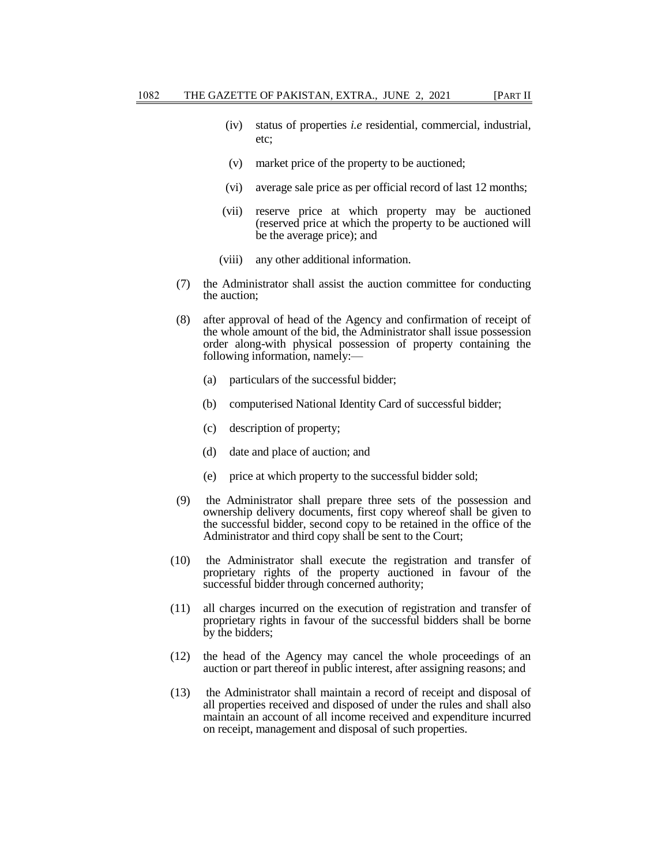- (iv) status of properties *i.e* residential, commercial, industrial, etc;
- (v) market price of the property to be auctioned;
- (vi) average sale price as per official record of last 12 months;
- (vii) reserve price at which property may be auctioned (reserved price at which the property to be auctioned will be the average price); and
- (viii) any other additional information.
- (7) the Administrator shall assist the auction committee for conducting the auction;
- (8) after approval of head of the Agency and confirmation of receipt of the whole amount of the bid, the Administrator shall issue possession order along-with physical possession of property containing the following information, namely:—
	- (a) particulars of the successful bidder;
	- (b) computerised National Identity Card of successful bidder;
	- (c) description of property;
	- (d) date and place of auction; and
	- (e) price at which property to the successful bidder sold;
- (9) the Administrator shall prepare three sets of the possession and ownership delivery documents, first copy whereof shall be given to the successful bidder, second copy to be retained in the office of the Administrator and third copy shall be sent to the Court;
- (10) the Administrator shall execute the registration and transfer of proprietary rights of the property auctioned in favour of the successful bidder through concerned authority;
- (11) all charges incurred on the execution of registration and transfer of proprietary rights in favour of the successful bidders shall be borne by the bidders;
- (12) the head of the Agency may cancel the whole proceedings of an auction or part thereof in public interest, after assigning reasons; and
- (13) the Administrator shall maintain a record of receipt and disposal of all properties received and disposed of under the rules and shall also maintain an account of all income received and expenditure incurred on receipt, management and disposal of such properties.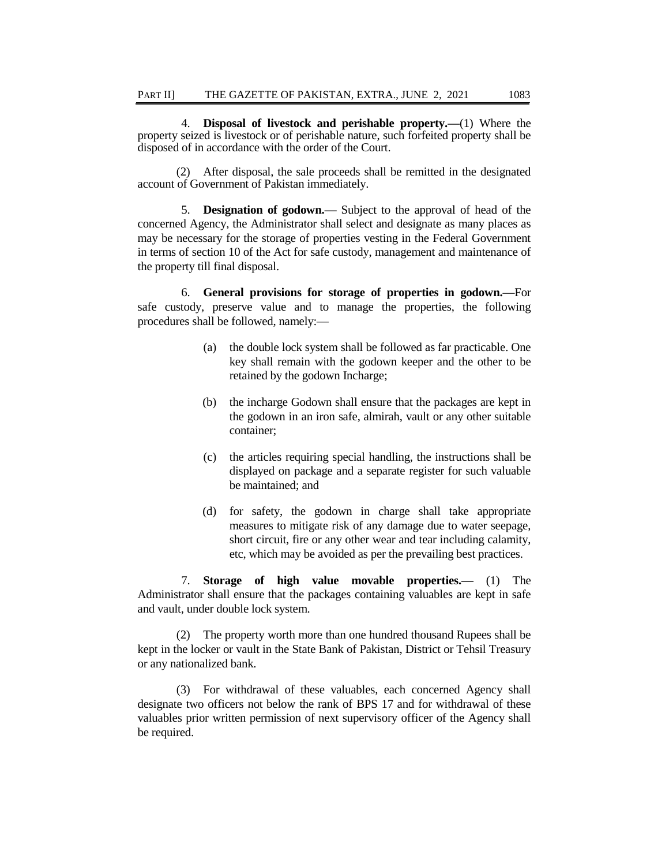4. **Disposal of livestock and perishable property.—**(1) Where the property seized is livestock or of perishable nature, such forfeited property shall be disposed of in accordance with the order of the Court.

(2) After disposal, the sale proceeds shall be remitted in the designated account of Government of Pakistan immediately.

5. **Designation of godown.—** Subject to the approval of head of the concerned Agency, the Administrator shall select and designate as many places as may be necessary for the storage of properties vesting in the Federal Government in terms of section 10 of the Act for safe custody, management and maintenance of the property till final disposal.

6. **General provisions for storage of properties in godown.—**For safe custody, preserve value and to manage the properties, the following procedures shall be followed, namely:—

- (a) the double lock system shall be followed as far practicable. One key shall remain with the godown keeper and the other to be retained by the godown Incharge;
- (b) the incharge Godown shall ensure that the packages are kept in the godown in an iron safe, almirah, vault or any other suitable container;
- (c) the articles requiring special handling, the instructions shall be displayed on package and a separate register for such valuable be maintained; and
- (d) for safety, the godown in charge shall take appropriate measures to mitigate risk of any damage due to water seepage, short circuit, fire or any other wear and tear including calamity, etc, which may be avoided as per the prevailing best practices.

7. **Storage of high value movable properties.—** (1) The Administrator shall ensure that the packages containing valuables are kept in safe and vault, under double lock system.

(2) The property worth more than one hundred thousand Rupees shall be kept in the locker or vault in the State Bank of Pakistan, District or Tehsil Treasury or any nationalized bank.

(3) For withdrawal of these valuables, each concerned Agency shall designate two officers not below the rank of BPS 17 and for withdrawal of these valuables prior written permission of next supervisory officer of the Agency shall be required.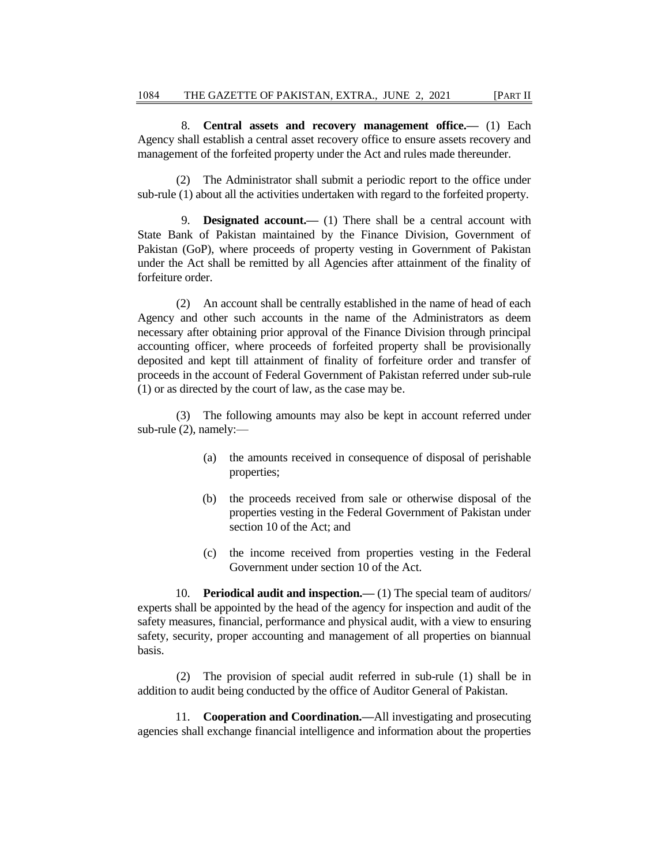8. **Central assets and recovery management office.—** (1) Each Agency shall establish a central asset recovery office to ensure assets recovery and management of the forfeited property under the Act and rules made thereunder.

(2) The Administrator shall submit a periodic report to the office under sub-rule (1) about all the activities undertaken with regard to the forfeited property.

9. **Designated account.—** (1) There shall be a central account with State Bank of Pakistan maintained by the Finance Division, Government of Pakistan (GoP), where proceeds of property vesting in Government of Pakistan under the Act shall be remitted by all Agencies after attainment of the finality of forfeiture order.

(2) An account shall be centrally established in the name of head of each Agency and other such accounts in the name of the Administrators as deem necessary after obtaining prior approval of the Finance Division through principal accounting officer, where proceeds of forfeited property shall be provisionally deposited and kept till attainment of finality of forfeiture order and transfer of proceeds in the account of Federal Government of Pakistan referred under sub-rule (1) or as directed by the court of law, as the case may be.

(3) The following amounts may also be kept in account referred under sub-rule (2), namely:—

- (a) the amounts received in consequence of disposal of perishable properties;
- (b) the proceeds received from sale or otherwise disposal of the properties vesting in the Federal Government of Pakistan under section 10 of the Act; and
- (c) the income received from properties vesting in the Federal Government under section 10 of the Act.

10. **Periodical audit and inspection.—** (1) The special team of auditors/ experts shall be appointed by the head of the agency for inspection and audit of the safety measures, financial, performance and physical audit, with a view to ensuring safety, security, proper accounting and management of all properties on biannual basis.

(2) The provision of special audit referred in sub-rule (1) shall be in addition to audit being conducted by the office of Auditor General of Pakistan.

11. **Cooperation and Coordination.—**All investigating and prosecuting agencies shall exchange financial intelligence and information about the properties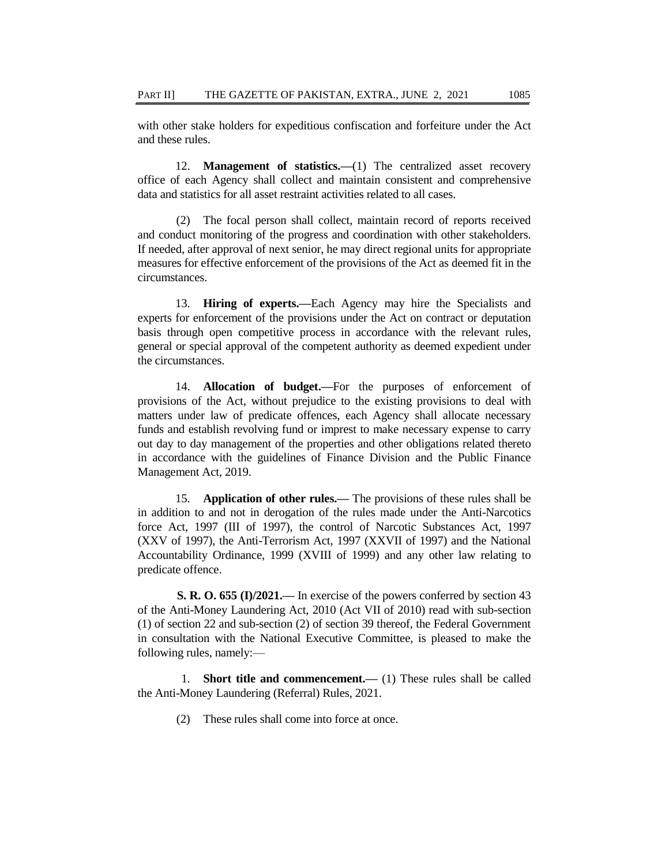with other stake holders for expeditious confiscation and forfeiture under the Act and these rules.

12. **Management of statistics.—**(1) The centralized asset recovery office of each Agency shall collect and maintain consistent and comprehensive data and statistics for all asset restraint activities related to all cases.

(2) The focal person shall collect, maintain record of reports received and conduct monitoring of the progress and coordination with other stakeholders. If needed, after approval of next senior, he may direct regional units for appropriate measures for effective enforcement of the provisions of the Act as deemed fit in the circumstances.

13. **Hiring of experts.—**Each Agency may hire the Specialists and experts for enforcement of the provisions under the Act on contract or deputation basis through open competitive process in accordance with the relevant rules, general or special approval of the competent authority as deemed expedient under the circumstances.

14. **Allocation of budget.—**For the purposes of enforcement of provisions of the Act, without prejudice to the existing provisions to deal with matters under law of predicate offences, each Agency shall allocate necessary funds and establish revolving fund or imprest to make necessary expense to carry out day to day management of the properties and other obligations related thereto in accordance with the guidelines of Finance Division and the Public Finance Management Act, 2019.

15. **Application of other rules.—** The provisions of these rules shall be in addition to and not in derogation of the rules made under the Anti-Narcotics force Act, 1997 (III of 1997), the control of Narcotic Substances Act, 1997 (XXV of 1997), the Anti-Terrorism Act, 1997 (XXVII of 1997) and the National Accountability Ordinance, 1999 (XVIII of 1999) and any other law relating to predicate offence.

**S. R. O. 655 (I)/2021.—** In exercise of the powers conferred by section 43 of the Anti-Money Laundering Act, 2010 (Act VII of 2010) read with sub-section (1) of section 22 and sub-section (2) of section 39 thereof, the Federal Government in consultation with the National Executive Committee, is pleased to make the following rules, namely:—

1. **Short title and commencement.—** (1) These rules shall be called the Anti-Money Laundering (Referral) Rules, 2021.

(2) These rules shall come into force at once.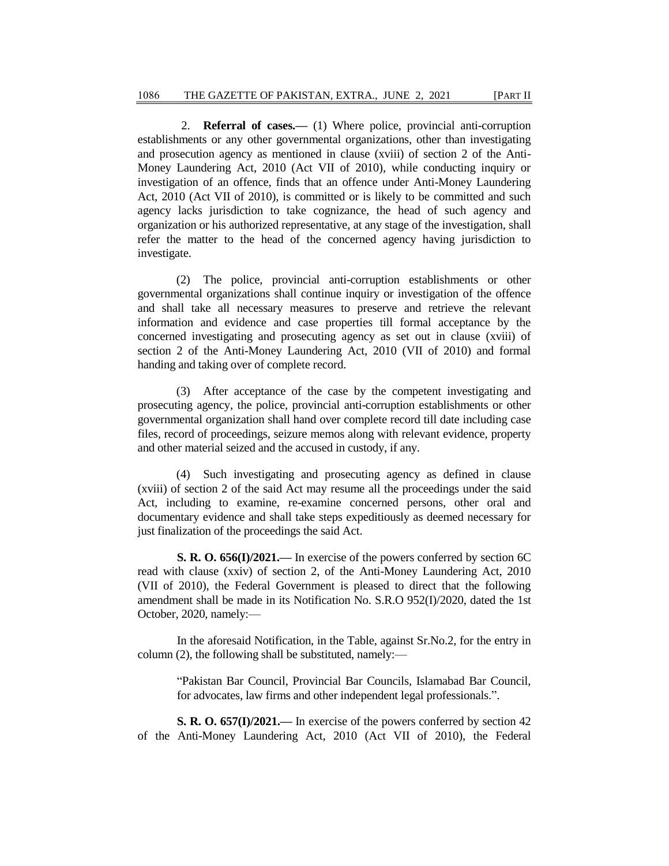2. **Referral of cases.—** (1) Where police, provincial anti-corruption establishments or any other governmental organizations, other than investigating and prosecution agency as mentioned in clause (xviii) of section 2 of the Anti-Money Laundering Act, 2010 (Act VII of 2010), while conducting inquiry or investigation of an offence, finds that an offence under Anti-Money Laundering Act, 2010 (Act VII of 2010), is committed or is likely to be committed and such agency lacks jurisdiction to take cognizance, the head of such agency and organization or his authorized representative, at any stage of the investigation, shall refer the matter to the head of the concerned agency having jurisdiction to investigate.

(2) The police, provincial anti-corruption establishments or other governmental organizations shall continue inquiry or investigation of the offence and shall take all necessary measures to preserve and retrieve the relevant information and evidence and case properties till formal acceptance by the concerned investigating and prosecuting agency as set out in clause (xviii) of section 2 of the Anti-Money Laundering Act, 2010 (VII of 2010) and formal handing and taking over of complete record.

(3) After acceptance of the case by the competent investigating and prosecuting agency, the police, provincial anti-corruption establishments or other governmental organization shall hand over complete record till date including case files, record of proceedings, seizure memos along with relevant evidence, property and other material seized and the accused in custody, if any.

(4) Such investigating and prosecuting agency as defined in clause (xviii) of section 2 of the said Act may resume all the proceedings under the said Act, including to examine, re-examine concerned persons, other oral and documentary evidence and shall take steps expeditiously as deemed necessary for just finalization of the proceedings the said Act.

**S. R. O. 656(I)/2021.—** In exercise of the powers conferred by section 6C read with clause (xxiv) of section 2, of the Anti-Money Laundering Act, 2010 (VII of 2010), the Federal Government is pleased to direct that the following amendment shall be made in its Notification No. S.R.O 952(I)/2020, dated the 1st October, 2020, namely:—

In the aforesaid Notification, in the Table, against Sr.No.2, for the entry in column (2), the following shall be substituted, namely:—

"Pakistan Bar Council, Provincial Bar Councils, Islamabad Bar Council, for advocates, law firms and other independent legal professionals.".

**S. R. O. 657(I)/2021.—** In exercise of the powers conferred by section 42 of the Anti-Money Laundering Act, 2010 (Act VII of 2010), the Federal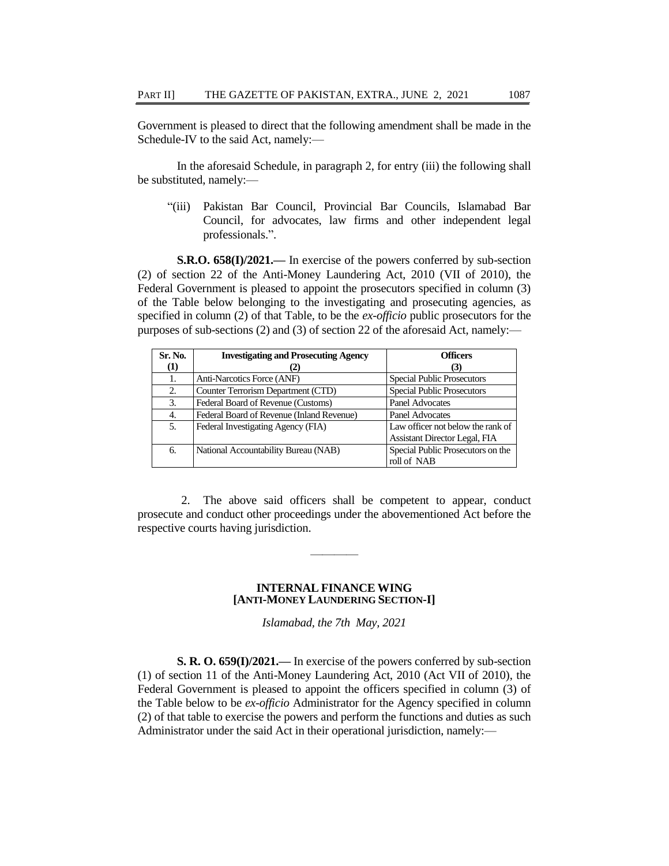Government is pleased to direct that the following amendment shall be made in the Schedule-IV to the said Act, namely:—

In the aforesaid Schedule, in paragraph 2, for entry (iii) the following shall be substituted, namely:—

"(iii) Pakistan Bar Council, Provincial Bar Councils, Islamabad Bar Council, for advocates, law firms and other independent legal professionals.".

**S.R.O. 658(I)/2021.—** In exercise of the powers conferred by sub-section (2) of section 22 of the Anti-Money Laundering Act, 2010 (VII of 2010), the Federal Government is pleased to appoint the prosecutors specified in column (3) of the Table below belonging to the investigating and prosecuting agencies, as specified in column (2) of that Table, to be the *ex-officio* public prosecutors for the purposes of sub-sections (2) and (3) of section 22 of the aforesaid Act, namely:—

| Sr. No.  | <b>Investigating and Prosecuting Agency</b> | <b>Officers</b>                                                           |
|----------|---------------------------------------------|---------------------------------------------------------------------------|
| $\bf(1)$ |                                             | (3)                                                                       |
| 1.       | Anti-Narcotics Force (ANF)                  | <b>Special Public Prosecutors</b>                                         |
| 2.       | Counter Terrorism Department (CTD)          | <b>Special Public Prosecutors</b>                                         |
| 3.       | Federal Board of Revenue (Customs)          | <b>Panel Advocates</b>                                                    |
| 4.       | Federal Board of Revenue (Inland Revenue)   | <b>Panel Advocates</b>                                                    |
| 5.       | Federal Investigating Agency (FIA)          | Law officer not below the rank of<br><b>Assistant Director Legal, FIA</b> |
| 6.       | National Accountability Bureau (NAB)        | Special Public Prosecutors on the<br>roll of NAB                          |

2. The above said officers shall be competent to appear, conduct prosecute and conduct other proceedings under the abovementioned Act before the respective courts having jurisdiction.

————

#### **INTERNAL FINANCE WING [ANTI-MONEY LAUNDERING SECTION-I]**

*Islamabad, the 7th May, 2021*

**S. R. O. 659(I)/2021.—** In exercise of the powers conferred by sub-section (1) of section 11 of the Anti-Money Laundering Act, 2010 (Act VII of 2010), the Federal Government is pleased to appoint the officers specified in column (3) of the Table below to be *ex-officio* Administrator for the Agency specified in column (2) of that table to exercise the powers and perform the functions and duties as such Administrator under the said Act in their operational jurisdiction, namely:—